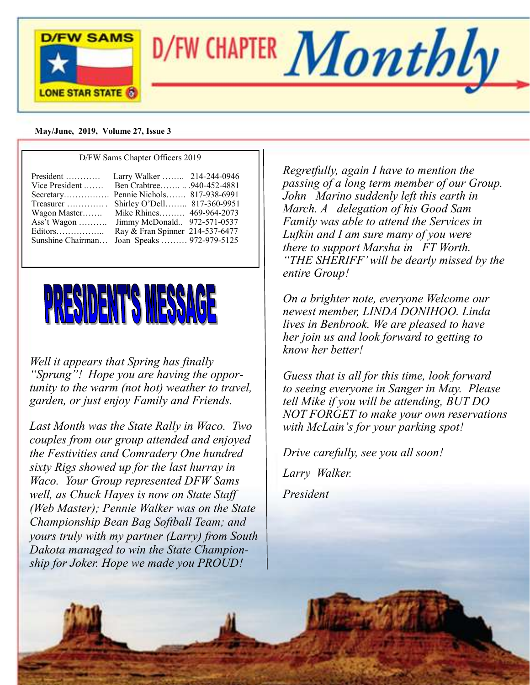

#### **May/June, 2019, Volume 27, Issue 3**

|                                                                                                                                                                                                                                                                                                                                                                                                | D/FW Sams Chapter Officers 2019 |  |  |  |
|------------------------------------------------------------------------------------------------------------------------------------------------------------------------------------------------------------------------------------------------------------------------------------------------------------------------------------------------------------------------------------------------|---------------------------------|--|--|--|
| President<br>Larry Walker  214-244-0946<br>Ben Crabtree  .940-452-4881<br>Vice President<br>Secretary Pennie Nichols 817-938-6991<br>Shirley O'Dell 817-360-9951<br>Treasurer $\dots\dots\dots\dots$<br>Mike Rhines 469-964-2073<br>Wagon Master<br>Jimmy McDonald 972-571-0537<br>Ass't Wagon<br>Ray & Fran Spinner 214-537-6477<br>Editors<br>Joan Speaks  972-979-5125<br>Sunshine Chairman |                                 |  |  |  |



*Well it appears that Spring has finally "Sprung"! Hope you are having the opportunity to the warm (not hot) weather to travel, garden, or just enjoy Family and Friends.*

*Last Month was the State Rally in Waco. Two couples from our group attended and enjoyed the Festivities and Comradery One hundred sixty Rigs showed up for the last hurray in Waco. Your Group represented DFW Sams well, as Chuck Hayes is now on State Staff (Web Master); Pennie Walker was on the State Championship Bean Bag Softball Team; and yours truly with my partner (Larry) from South Dakota managed to win the State Championship for Joker. Hope we made you PROUD!*

*Regretfully, again I have to mention the passing of a long term member of our Group. John Marino suddenly left this earth in March. A delegation of his Good Sam Family was able to attend the Services in Lufkin and I am sure many of you were there to support Marsha in FT Worth. "THE SHERIFF' will be dearly missed by the entire Group!*

*On a brighter note, everyone Welcome our newest member, LINDA DONIHOO. Linda lives in Benbrook. We are pleased to have her join us and look forward to getting to know her better!*

*Guess that is all for this time, look forward to seeing everyone in Sanger in May. Please tell Mike if you will be attending, BUT DO NOT FORGET to make your own reservations with McLain's for your parking spot!*

*Drive carefully, see you all soon! Larry Walker.*

*President*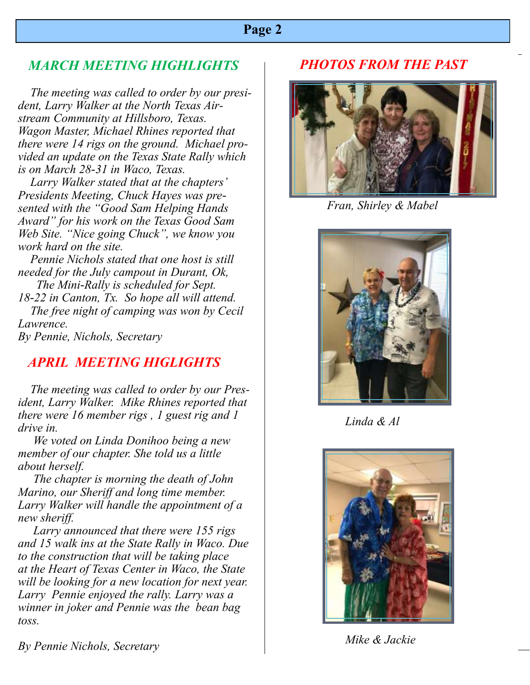## **Page 2**

# *MARCH MEETING HIGHLIGHTS*

 *The meeting was called to order by our president, Larry Walker at the North Texas Airstream Community at Hillsboro, Texas. Wagon Master, Michael Rhines reported that there were 14 rigs on the ground. Michael provided an update on the Texas State Rally which is on March 28-31 in Waco, Texas.*

 *Larry Walker stated that at the chapters' Presidents Meeting, Chuck Hayes was presented with the "Good Sam Helping Hands Award" for his work on the Texas Good Sam Web Site. "Nice going Chuck", we know you work hard on the site.*

 *Pennie Nichols stated that one host is still needed for the July campout in Durant, Ok, The Mini-Rally is scheduled for Sept.*

*18-22 in Canton, Tx. So hope all will attend. The free night of camping was won by Cecil Lawrence.*

*By Pennie, Nichols, Secretary*

# *APRIL MEETING HIGLIGHTS*

 *The meeting was called to order by our President, Larry Walker. Mike Rhines reported that there were 16 member rigs , 1 guest rig and 1 drive in.* 

 *We voted on Linda Donihoo being a new member of our chapter. She told us a little about herself.*

 *The chapter is morning the death of John Marino, our Sheriff and long time member. Larry Walker will handle the appointment of a new sheriff.*

 *Larry announced that there were 155 rigs and 15 walk ins at the State Rally in Waco. Due to the construction that will be taking place at the Heart of Texas Center in Waco, the State will be looking for a new location for next year. Larry Pennie enjoyed the rally. Larry was a winner in joker and Pennie was the bean bag toss.*

# *PHOTOS FROM THE PAST*



 *Fran, Shirley & Mabel*



 *Linda & Al*



 *Mike & Jackie*

*By Pennie Nichols, Secretary*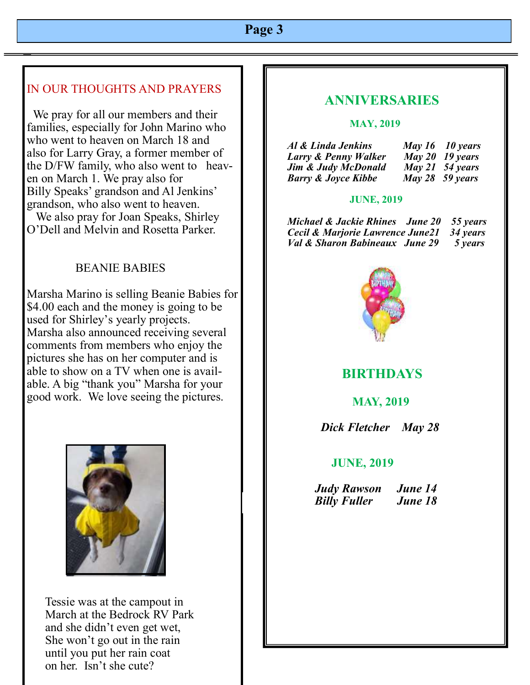# **Page 3**

### IN OUR THOUGHTS AND PRAYERS

 We pray for all our members and their families, especially for John Marino who who went to heaven on March 18 and also for Larry Gray, a former member of the D/FW family, who also went to heaven on March 1. We pray also for Billy Speaks' grandson and Al Jenkins' grandson, who also went to heaven. We also pray for Joan Speaks, Shirley

O'Dell and Melvin and Rosetta Parker.

### BEANIE BABIES

Marsha Marino is selling Beanie Babies for \$4.00 each and the money is going to be used for Shirley's yearly projects. Marsha also announced receiving several comments from members who enjoy the pictures she has on her computer and is able to show on a TV when one is available. A big "thank you" Marsha for your good work. We love seeing the pictures.



 Tessie was at the campout in March at the Bedrock RV Park and she didn't even get wet, She won't go out in the rain until you put her rain coat on her. Isn't she cute?

## **ANNIVERSARIES**

#### **MAY, 2019**

| Al & Linda Jenkins             | May 16 10 years   |
|--------------------------------|-------------------|
| Larry & Penny Walker           | May 20 19 years   |
| <b>Jim &amp; Judy McDonald</b> | May 21 $54$ years |
| <b>Barry &amp; Joyce Kibbe</b> | May 28 $59$ years |

#### **JUNE, 2019**

 *Michael & Jackie Rhines June 20 55 years Cecil & Marjorie Lawrence June21 34 years Val & Sharon Babineaux June 29 5 years*



## **BIRTHDAYS**

 **MAY, 2019** 

 *Dick Fletcher May 28*

#### **JUNE, 2019**

 *Judy Rawson June 14 Billy Fuller June 18*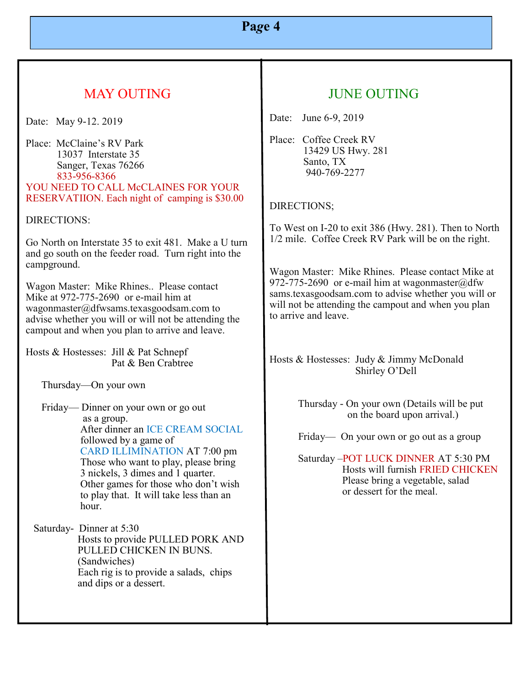# **Pa***g***e 4**

# MAY OUTING

Date: May 9-12. 2019

Place: McClaine's RV Park 13037 Interstate 35 Sanger, Texas 76266 833-956-8366 YOU NEED TO CALL McCLAINES FOR YOUR RESERVATIION. Each night of camping is \$30.00

DIRECTIONS:

Go North on Interstate 35 to exit 481. Make a U turn and go south on the feeder road. Turn right into the campground.

Wagon Master: Mike Rhines.. Please contact Mike at 972-775-2690 or e-mail him at wagonmaster@dfwsams.texasgoodsam.com to advise whether you will or will not be attending the campout and when you plan to arrive and leave.

Hosts & Hostesses: Jill & Pat Schnepf Pat & Ben Crabtree

Thursday—On your own

 Friday— Dinner on your own or go out as a group. After dinner an ICE CREAM SOCIAL followed by a game of CARD ILLIMINATION AT 7:00 pm Those who want to play, please bring 3 nickels, 3 dimes and 1 quarter. Other games for those who don't wish to play that. It will take less than an hour.

 Saturday- Dinner at 5:30 Hosts to provide PULLED PORK AND PULLED CHICKEN IN BUNS. (Sandwiches) Each rig is to provide a salads, chips and dips or a dessert.

# JUNE OUTING

Date: June 6-9, 2019

Place: Coffee Creek RV 13429 US Hwy. 281 Santo, TX 940-769-2277

### DIRECTIONS;

To West on I-20 to exit 386 (Hwy. 281). Then to North 1/2 mile. Coffee Creek RV Park will be on the right.

Wagon Master: Mike Rhines. Please contact Mike at 972-775-2690 or e-mail him at wagonmaster@dfw sams.texasgoodsam.com to advise whether you will or will not be attending the campout and when you plan to arrive and leave.

Hosts & Hostesses: Judy & Jimmy McDonald Shirley O'Dell

> Thursday - On your own (Details will be put on the board upon arrival.)

Friday— On your own or go out as a group

 Saturday –POT LUCK DINNER AT 5:30 PM Hosts will furnish FRIED CHICKEN Please bring a vegetable, salad or dessert for the meal.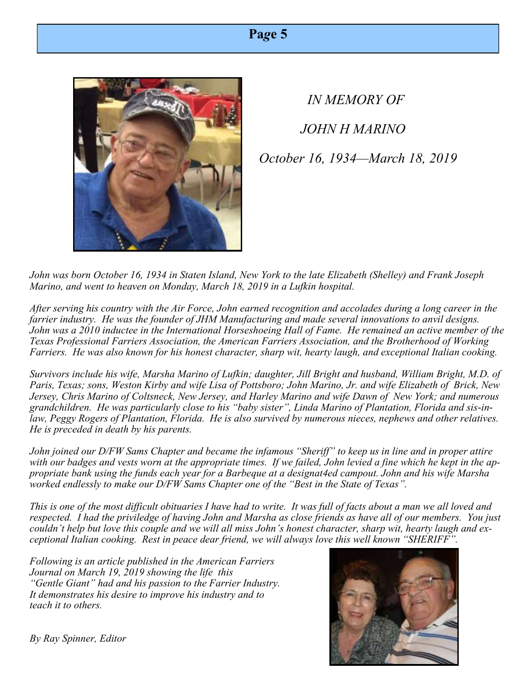| Page 5 |  |
|--------|--|
|--------|--|



 *IN MEMORY OF JOHN H MARINO October 16, 1934—March 18, 2019*

*John was born October 16, 1934 in Staten Island, New York to the late Elizabeth (Shelley) and Frank Joseph Marino, and went to heaven on Monday, March 18, 2019 in a Lufkin hospital.*

*After serving his country with the Air Force, John earned recognition and accolades during a long career in the farrier industry. He was the founder of JHM Manufacturing and made several innovations to anvil designs. John was a 2010 inductee in the International Horseshoeing Hall of Fame. He remained an active member of the Texas Professional Farriers Association, the American Farriers Association, and the Brotherhood of Working Farriers. He was also known for his honest character, sharp wit, hearty laugh, and exceptional Italian cooking.*

*Survivors include his wife, Marsha Marino of Lufkin; daughter, Jill Bright and husband, William Bright, M.D. of Paris, Texas; sons, Weston Kirby and wife Lisa of Pottsboro; John Marino, Jr. and wife Elizabeth of Brick, New Jersey, Chris Marino of Coltsneck, New Jersey, and Harley Marino and wife Dawn of New York; and numerous grandchildren. He was particularly close to his "baby sister", Linda Marino of Plantation, Florida and sis-inlaw, Peggy Rogers of Plantation, Florida. He is also survived by numerous nieces, nephews and other relatives. He is preceded in death by his parents.*

*John joined our D/FW Sams Chapter and became the infamous "Sheriff" to keep us in line and in proper attire with our badges and vests worn at the appropriate times. If we failed, John levied a fine which he kept in the appropriate bank using the funds each year for a Barbeque at a designat4ed campout. John and his wife Marsha worked endlessly to make our D/FW Sams Chapter one of the "Best in the State of Texas".* 

*This is one of the most difficult obituaries I have had to write. It was full of facts about a man we all loved and respected. I had the priviledge of having John and Marsha as close friends as have all of our members. You just couldn't help but love this couple and we will all miss John's honest character, sharp wit, hearty laugh and exceptional Italian cooking. Rest in peace dear friend, we will always love this well known "SHERIFF".*

*Following is an article published in the American Farriers Journal on March 19, 2019 showing the life this "Gentle Giant" had and his passion to the Farrier Industry. It demonstrates his desire to improve his industry and to teach it to others.* 



*By Ray Spinner, Editor*